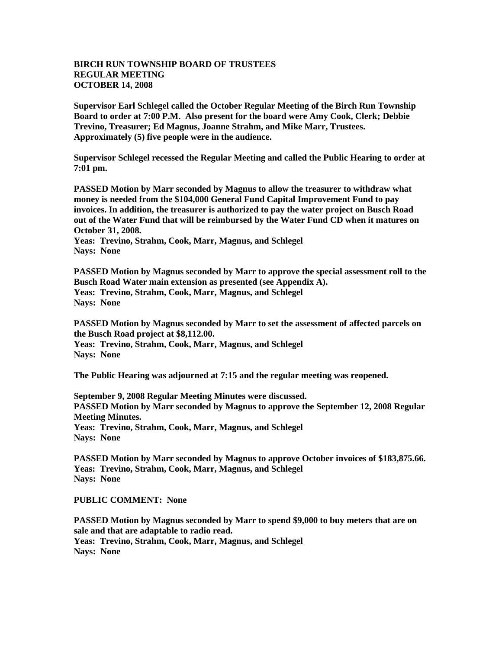## **BIRCH RUN TOWNSHIP BOARD OF TRUSTEES REGULAR MEETING OCTOBER 14, 2008**

**Supervisor Earl Schlegel called the October Regular Meeting of the Birch Run Township Board to order at 7:00 P.M. Also present for the board were Amy Cook, Clerk; Debbie Trevino, Treasurer; Ed Magnus, Joanne Strahm, and Mike Marr, Trustees. Approximately (5) five people were in the audience.** 

**Supervisor Schlegel recessed the Regular Meeting and called the Public Hearing to order at 7:01 pm.** 

**PASSED Motion by Marr seconded by Magnus to allow the treasurer to withdraw what money is needed from the \$104,000 General Fund Capital Improvement Fund to pay invoices. In addition, the treasurer is authorized to pay the water project on Busch Road out of the Water Fund that will be reimbursed by the Water Fund CD when it matures on October 31, 2008.**

**Yeas: Trevino, Strahm, Cook, Marr, Magnus, and Schlegel Nays: None** 

**PASSED Motion by Magnus seconded by Marr to approve the special assessment roll to the Busch Road Water main extension as presented (see Appendix A). Yeas: Trevino, Strahm, Cook, Marr, Magnus, and Schlegel Nays: None** 

**PASSED Motion by Magnus seconded by Marr to set the assessment of affected parcels on the Busch Road project at \$8,112.00. Yeas: Trevino, Strahm, Cook, Marr, Magnus, and Schlegel Nays: None** 

**The Public Hearing was adjourned at 7:15 and the regular meeting was reopened.**

**September 9, 2008 Regular Meeting Minutes were discussed. PASSED Motion by Marr seconded by Magnus to approve the September 12, 2008 Regular Meeting Minutes. Yeas: Trevino, Strahm, Cook, Marr, Magnus, and Schlegel Nays: None** 

**PASSED Motion by Marr seconded by Magnus to approve October invoices of \$183,875.66. Yeas: Trevino, Strahm, Cook, Marr, Magnus, and Schlegel Nays: None** 

**PUBLIC COMMENT: None**

**PASSED Motion by Magnus seconded by Marr to spend \$9,000 to buy meters that are on sale and that are adaptable to radio read. Yeas: Trevino, Strahm, Cook, Marr, Magnus, and Schlegel Nays: None**